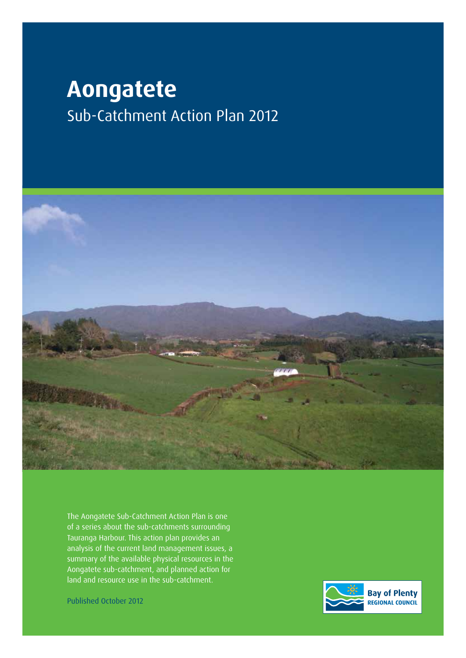# **Aongatete** Sub-Catchment Action Plan 2012



The Aongatete Sub-Catchment Action Plan is one of a series about the sub-catchments surrounding Tauranga Harbour. This action plan provides an analysis of the current land management issues, a summary of the available physical resources in the Aongatete sub-catchment, and planned action for land and resource use in the sub-catchment.

Published October 2012

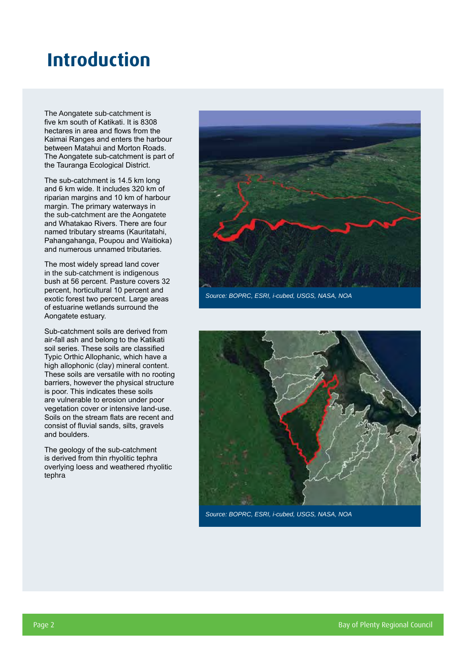## **Introduction**

The Aongatete sub-catchment is five km south of Katikati. It is 8308 hectares in area and flows from the Kaimai Ranges and enters the harbour between Matahui and Morton Roads. The Aongatete sub-catchment is part of the Tauranga Ecological District.

The sub-catchment is 14.5 km long and 6 km wide. It includes 320 km of riparian margins and 10 km of harbour margin. The primary waterways in the sub-catchment are the Aongatete and Whatakao Rivers. There are four named tributary streams (Kauritatahi, Pahangahanga, Poupou and Waitioka) and numerous unnamed tributaries.

The most widely spread land cover in the sub-catchment is indigenous bush at 56 percent. Pasture covers 32 percent, horticultural 10 percent and exotic forest two percent. Large areas of estuarine wetlands surround the Aongatete estuary.

Sub-catchment soils are derived from air-fall ash and belong to the Katikati soil series. These soils are classified Typic Orthic Allophanic, which have a high allophonic (clay) mineral content. These soils are versatile with no rooting barriers, however the physical structure is poor. This indicates these soils are vulnerable to erosion under poor vegetation cover or intensive land-use. Soils on the stream flats are recent and consist of fluvial sands, silts, gravels and boulders.

The geology of the sub-catchment is derived from thin rhyolitic tephra overlying loess and weathered rhyolitic tephra



*Source: BOPRC, ESRI, i-cubed, USGS, NASA, NOA*



*Source: BOPRC, ESRI, i-cubed, USGS, NASA, NOA*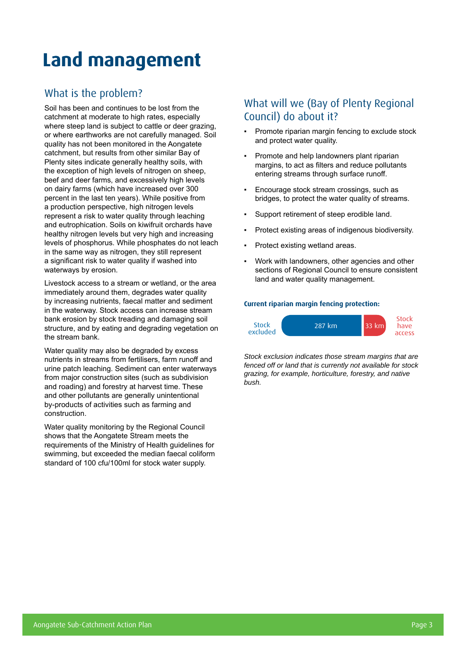# **Land management**

### What is the problem?

Soil has been and continues to be lost from the catchment at moderate to high rates, especially where steep land is subject to cattle or deer grazing, or where earthworks are not carefully managed. Soil quality has not been monitored in the Aongatete catchment, but results from other similar Bay of Plenty sites indicate generally healthy soils, with the exception of high levels of nitrogen on sheep, beef and deer farms, and excessively high levels on dairy farms (which have increased over 300 percent in the last ten years). While positive from a production perspective, high nitrogen levels represent a risk to water quality through leaching and eutrophication. Soils on kiwifruit orchards have healthy nitrogen levels but very high and increasing levels of phosphorus. While phosphates do not leach in the same way as nitrogen, they still represent a significant risk to water quality if washed into waterways by erosion.

Livestock access to a stream or wetland, or the area immediately around them, degrades water quality by increasing nutrients, faecal matter and sediment in the waterway. Stock access can increase stream bank erosion by stock treading and damaging soil structure, and by eating and degrading vegetation on the stream bank.

Water quality may also be degraded by excess nutrients in streams from fertilisers, farm runoff and urine patch leaching. Sediment can enter waterways from major construction sites (such as subdivision and roading) and forestry at harvest time. These and other pollutants are generally unintentional by-products of activities such as farming and construction.

Water quality monitoring by the Regional Council shows that the Aongatete Stream meets the requirements of the Ministry of Health guidelines for swimming, but exceeded the median faecal coliform standard of 100 cfu/100ml for stock water supply.

## What will we (Bay of Plenty Regional Council) do about it?

- Promote riparian margin fencing to exclude stock and protect water quality.
- Promote and help landowners plant riparian margins, to act as filters and reduce pollutants entering streams through surface runoff.
- Encourage stock stream crossings, such as bridges, to protect the water quality of streams.
- Support retirement of steep erodible land.
- Protect existing areas of indigenous biodiversity.
- Protect existing wetland areas.
- Work with landowners, other agencies and other sections of Regional Council to ensure consistent land and water quality management.

#### **Current riparian margin fencing protection:**



*Stock exclusion indicates those stream margins that are fenced off or land that is currently not available for stock grazing, for example, horticulture, forestry, and native bush.*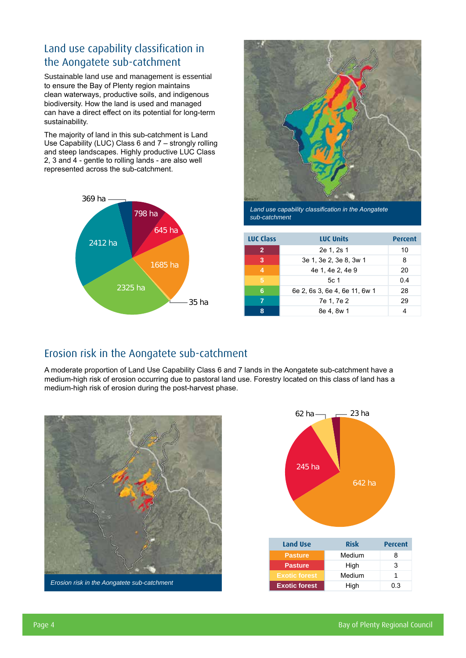### Land use capability classification in the Aongatete sub-catchment

Sustainable land use and management is essential to ensure the Bay of Plenty region maintains clean waterways, productive soils, and indigenous biodiversity. How the land is used and managed can have a direct effect on its potential for long-term sustainability.

The majority of land in this sub-catchment is Land Use Capability (LUC) Class 6 and 7 – strongly rolling and steep landscapes. Highly productive LUC Class 2, 3 and 4 - gentle to rolling lands - are also well represented across the sub-catchment.





*Land use capability classification in the Aongatete sub-catchment*

| <b>LUC Class</b> | <b>LUC Units</b>              | Percent |
|------------------|-------------------------------|---------|
| $\overline{2}$   | 2e 1, 2s 1                    | 10      |
| 3                | 3e 1, 3e 2, 3e 8, 3w 1        | 8       |
| $\overline{4}$   | 4e 1, 4e 2, 4e 9              | 20      |
| 5                | 5c 1                          | 0.4     |
| 6                | 6e 2, 6s 3, 6e 4, 6e 11, 6w 1 | 28      |
| 7                | 7e 1, 7e 2                    | 29      |
| 8                | 8e 4. 8w 1                    |         |

### Erosion risk in the Aongatete sub-catchment

A moderate proportion of Land Use Capability Class 6 and 7 lands in the Aongatete sub-catchment have a medium-high risk of erosion occurring due to pastoral land use. Forestry located on this class of land has a medium-high risk of erosion during the post-harvest phase.



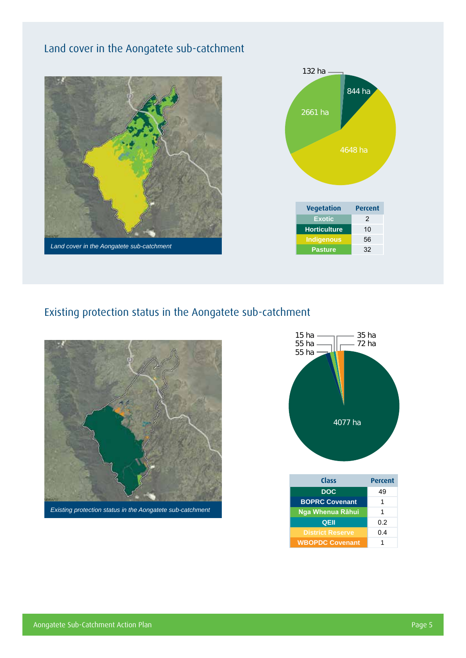## Land cover in the Aongatete sub-catchment





## Existing protection status in the Aongatete sub-catchment





| Class                   | <b>Percent</b> |  |  |  |
|-------------------------|----------------|--|--|--|
| <b>DOC</b>              | 49             |  |  |  |
| <b>BOPRC Covenant</b>   | 1              |  |  |  |
| Nga Whenua Rāhui        | 1              |  |  |  |
| QEII                    | 0.2            |  |  |  |
| <b>District Reserve</b> | 0.4            |  |  |  |
| <b>WBOPDC Covenant</b>  |                |  |  |  |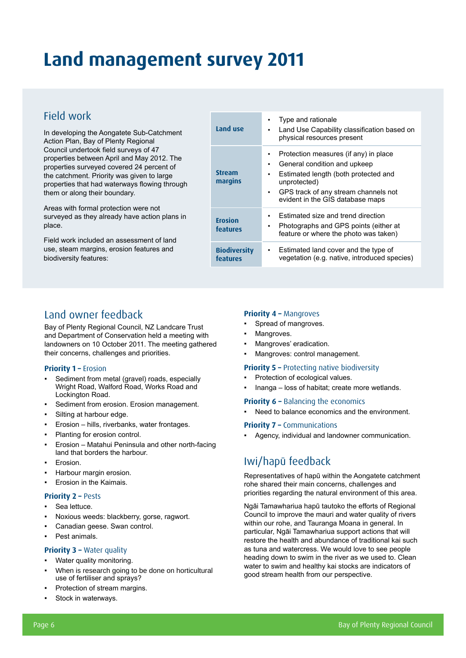# **Land management survey 2011**

### Field work

In developing the Aongatete Sub-Catchment Action Plan, Bay of Plenty Regional Council undertook field surveys of 47 properties between April and May 2012. The properties surveyed covered 24 percent of the catchment. Priority was given to large properties that had waterways flowing through them or along their boundary.

Areas with formal protection were not surveyed as they already have action plans in place.

Field work included an assessment of land use, steam margins, erosion features and biodiversity features:

| Land use                          | Type and rationale<br>Land Use Capability classification based on<br>physical resources present                                                                                                                          |
|-----------------------------------|--------------------------------------------------------------------------------------------------------------------------------------------------------------------------------------------------------------------------|
| <b>Stream</b><br>margins          | Protection measures (if any) in place<br>General condition and upkeep<br>٠<br>Estimated length (both protected and<br>٠<br>unprotected)<br>GPS track of any stream channels not<br>٠<br>evident in the GIS database maps |
| <b>Erosion</b><br><b>features</b> | Estimated size and trend direction<br>Photographs and GPS points (either at<br>feature or where the photo was taken)                                                                                                     |
| <b>Biodiversity</b><br>features   | Estimated land cover and the type of<br>vegetation (e.g. native, introduced species)                                                                                                                                     |

### Land owner feedback

Bay of Plenty Regional Council, NZ Landcare Trust and Department of Conservation held a meeting with landowners on 10 October 2011. The meeting gathered their concerns, challenges and priorities.

#### **Priority 1 –** Erosion

- Sediment from metal (gravel) roads, especially Wright Road, Walford Road, Works Road and Lockington Road.
- Sediment from erosion. Erosion management.
- Silting at harbour edge.
- Erosion hills, riverbanks, water frontages.
- Planting for erosion control.
- Erosion Matahui Peninsula and other north-facing land that borders the harbour.
- **Erosion.**
- Harbour margin erosion.
- Erosion in the Kaimais.

#### **Priority 2 – Pests**

- Sea lettuce.
- Noxious weeds: blackberry, gorse, ragwort.
- Canadian geese. Swan control.
- Pest animals.

#### **Priority 3 - Water quality**

- Water quality monitoring.
- When is research going to be done on horticultural use of fertiliser and sprays?
- Protection of stream margins.
- Stock in waterways.

#### **Priority 4 – Mangroves**

- Spread of mangroves.
- Mangroves.
- Mangroves' eradication.
- Mangroves: control management.

#### **Priority 5 – Protecting native biodiversity**

- Protection of ecological values.
- Inanga loss of habitat; create more wetlands.

#### **Priority 6 - Balancing the economics**

Need to balance economics and the environment.

#### **Priority 7 –** Communications

Agency, individual and landowner communication.

## Iwi/hapū feedback

Representatives of hapū within the Aongatete catchment rohe shared their main concerns, challenges and priorities regarding the natural environment of this area.

Ngāi Tamawhariua hapū tautoko the efforts of Regional Council to improve the mauri and water quality of rivers within our rohe, and Tauranga Moana in general. In particular, Ngāi Tamawhariua support actions that will restore the health and abundance of traditional kai such as tuna and watercress. We would love to see people heading down to swim in the river as we used to. Clean water to swim and healthy kai stocks are indicators of good stream health from our perspective.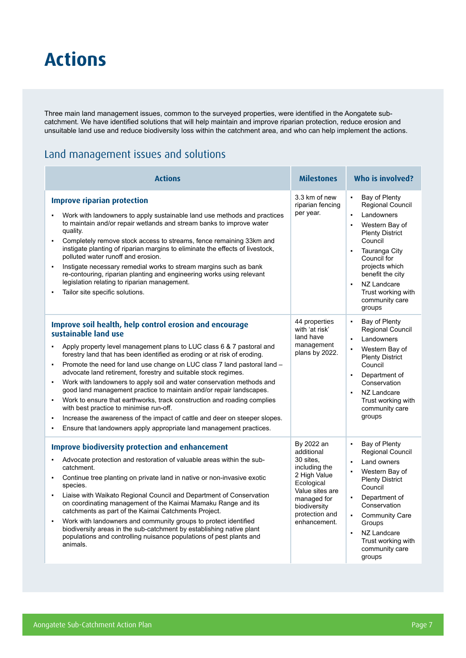## **Actions**

Three main land management issues, common to the surveyed properties, were identified in the Aongatete subcatchment. We have identified solutions that will help maintain and improve riparian protection, reduce erosion and unsuitable land use and reduce biodiversity loss within the catchment area, and who can help implement the actions.

### Land management issues and solutions

| <b>Actions</b>                                                                                                                                                                                                                                                                                                                                                                                                                                                                                                                                                                                                                                                                                                                                                                                                                                      | <b>Milestones</b>                                                                                                                                                        | <b>Who is involved?</b>                                                                                                                                                                                                                                                                                   |  |  |
|-----------------------------------------------------------------------------------------------------------------------------------------------------------------------------------------------------------------------------------------------------------------------------------------------------------------------------------------------------------------------------------------------------------------------------------------------------------------------------------------------------------------------------------------------------------------------------------------------------------------------------------------------------------------------------------------------------------------------------------------------------------------------------------------------------------------------------------------------------|--------------------------------------------------------------------------------------------------------------------------------------------------------------------------|-----------------------------------------------------------------------------------------------------------------------------------------------------------------------------------------------------------------------------------------------------------------------------------------------------------|--|--|
| <b>Improve riparian protection</b><br>Work with landowners to apply sustainable land use methods and practices<br>to maintain and/or repair wetlands and stream banks to improve water<br>quality.<br>Completely remove stock access to streams, fence remaining 33km and<br>$\blacksquare$<br>instigate planting of riparian margins to eliminate the effects of livestock,<br>polluted water runoff and erosion.<br>Instigate necessary remedial works to stream margins such as bank<br>٠<br>re-contouring, riparian planting and engineering works using relevant<br>legislation relating to riparian management.<br>Tailor site specific solutions.                                                                                                                                                                                            | 3.3 km of new<br>riparian fencing<br>per year.                                                                                                                           | $\blacksquare$<br>Bay of Plenty<br>Regional Council<br>Landowners<br>Western Bay of<br>$\blacksquare$<br><b>Plenty District</b><br>Council<br>Tauranga City<br>$\blacksquare$<br>Council for<br>projects which<br>benefit the city<br>NZ Landcare<br>Trust working with<br>community care<br>groups       |  |  |
| Improve soil health, help control erosion and encourage<br>sustainable land use<br>Apply property level management plans to LUC class 6 & 7 pastoral and<br>forestry land that has been identified as eroding or at risk of eroding.<br>Promote the need for land use change on LUC class 7 land pastoral land -<br>٠<br>advocate land retirement, forestry and suitable stock regimes.<br>Work with landowners to apply soil and water conservation methods and<br>$\blacksquare$<br>good land management practice to maintain and/or repair landscapes.<br>Work to ensure that earthworks, track construction and roading complies<br>٠<br>with best practice to minimise run-off.<br>Increase the awareness of the impact of cattle and deer on steeper slopes.<br>٠<br>Ensure that landowners apply appropriate land management practices.<br>٠ | 44 properties<br>with 'at risk'<br>land have<br>management<br>plans by 2022.                                                                                             | Bay of Plenty<br>Regional Council<br>Landowners<br>$\blacksquare$<br>Western Bay of<br><b>Plenty District</b><br>Council<br>Department of<br>$\blacksquare$<br>Conservation<br>NZ Landcare<br>$\blacksquare$<br>Trust working with<br>community care<br>groups                                            |  |  |
| <b>Improve biodiversity protection and enhancement</b><br>Advocate protection and restoration of valuable areas within the sub-<br>catchment.<br>Continue tree planting on private land in native or non-invasive exotic<br>٠<br>species.<br>Liaise with Waikato Regional Council and Department of Conservation<br>$\blacksquare$<br>on coordinating management of the Kaimai Mamaku Range and its<br>catchments as part of the Kaimai Catchments Project.<br>Work with landowners and community groups to protect identified<br>٠<br>biodiversity areas in the sub-catchment by establishing native plant<br>populations and controlling nuisance populations of pest plants and<br>animals.                                                                                                                                                      | By 2022 an<br>additional<br>30 sites.<br>including the<br>2 High Value<br>Ecological<br>Value sites are<br>managed for<br>biodiversity<br>protection and<br>enhancement. | Bay of Plenty<br>$\blacksquare$<br><b>Regional Council</b><br>Land owners<br>Western Bay of<br><b>Plenty District</b><br>Council<br>Department of<br>Conservation<br><b>Community Care</b><br>$\blacksquare$<br>Groups<br>NZ Landcare<br>$\blacksquare$<br>Trust working with<br>community care<br>groups |  |  |